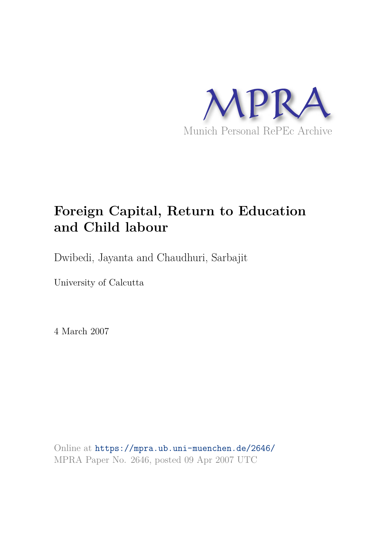

# **Foreign Capital, Return to Education and Child labour**

Dwibedi, Jayanta and Chaudhuri, Sarbajit

University of Calcutta

4 March 2007

Online at https://mpra.ub.uni-muenchen.de/2646/ MPRA Paper No. 2646, posted 09 Apr 2007 UTC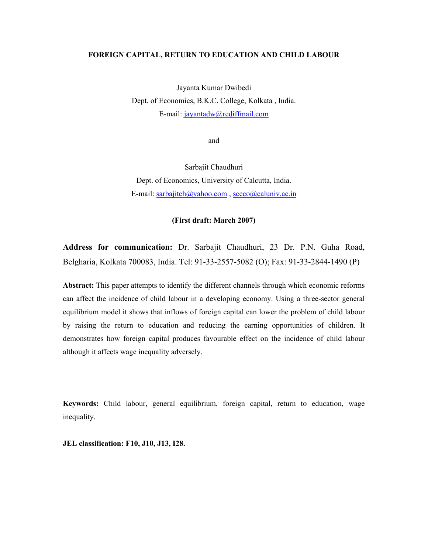#### **FOREIGN CAPITAL, RETURN TO EDUCATION AND CHILD LABOUR**

Jayanta Kumar Dwibedi Dept. of Economics, B.K.C. College, Kolkata , India. E-mail: jayantadw@rediffmail.com

and

Sarbajit Chaudhuri Dept. of Economics, University of Calcutta, India. E-mail: sarbajitch@yahoo.com, sceco@caluniv.ac.in

# **(First draft: March 2007)**

**Address for communication:** Dr. Sarbajit Chaudhuri, 23 Dr. P.N. Guha Road, Belgharia, Kolkata 700083, India. Tel: 91-33-2557-5082 (O); Fax: 91-33-2844-1490 (P)

**Abstract:** This paper attempts to identify the different channels through which economic reforms can affect the incidence of child labour in a developing economy. Using a three-sector general equilibrium model it shows that inflows of foreign capital can lower the problem of child labour by raising the return to education and reducing the earning opportunities of children. It demonstrates how foreign capital produces favourable effect on the incidence of child labour although it affects wage inequality adversely.

**Keywords:** Child labour, general equilibrium, foreign capital, return to education, wage inequality.

**JEL classification: F10, J10, J13, I28.**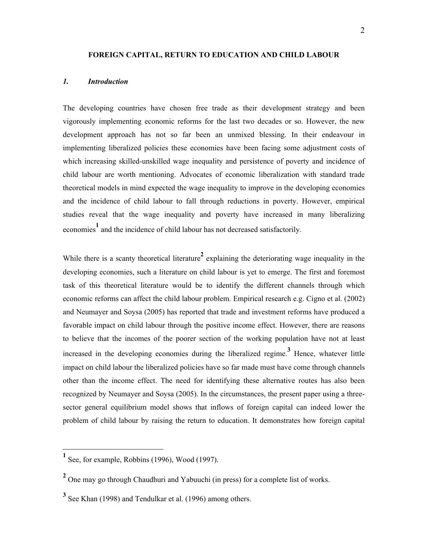## **FOREIGN CAPITAL, RETURN TO EDUCATION AND CHILD LABOUR**

# *1. Introduction*

The developing countries have chosen free trade as their development strategy and been vigorously implementing economic reforms for the last two decades or so. However, the new development approach has not so far been an unmixed blessing. In their endeavour in implementing liberalized policies these economies have been facing some adjustment costs of which increasing skilled-unskilled wage inequality and persistence of poverty and incidence of child labour are worth mentioning. Advocates of economic liberalization with standard trade theoretical models in mind expected the wage inequality to improve in the developing economies and the incidence of child labour to fall through reductions in poverty. However, empirical studies reveal that the wage inequality and poverty have increased in many liberalizing economies<sup>1</sup> and the incidence of child labour has not decreased satisfactorily.

While there is a scanty theoretical literature<sup>2</sup> explaining the deteriorating wage inequality in the developing economies, such a literature on child labour is yet to emerge. The first and foremost task of this theoretical literature would be to identify the different channels through which economic reforms can affect the child labour problem. Empirical research e.g. Cigno et al. (2002) and Neumayer and Soysa (2005) has reported that trade and investment reforms have produced a favorable impact on child labour through the positive income effect. However, there are reasons to believe that the incomes of the poorer section of the working population have not at least increased in the developing economies during the liberalized regime.**<sup>3</sup>** Hence, whatever little impact on child labour the liberalized policies have so far made must have come through channels other than the income effect. The need for identifying these alternative routes has also been recognized by Neumayer and Soysa (2005). In the circumstances, the present paper using a threesector general equilibrium model shows that inflows of foreign capital can indeed lower the problem of child labour by raising the return to education. It demonstrates how foreign capital

-

<sup>&</sup>lt;sup>1</sup> See, for example, Robbins (1996), Wood (1997).

<sup>&</sup>lt;sup>2</sup> One may go through Chaudhuri and Yabuuchi (in press) for a complete list of works.

<sup>&</sup>lt;sup>3</sup> See Khan (1998) and Tendulkar et al. (1996) among others.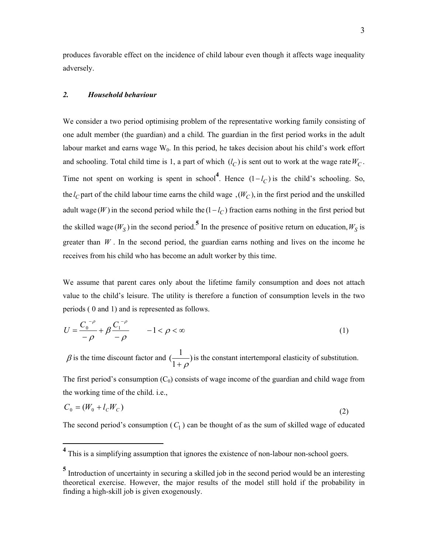produces favorable effect on the incidence of child labour even though it affects wage inequality adversely.

#### *2. Household behaviour*

-

We consider a two period optimising problem of the representative working family consisting of one adult member (the guardian) and a child. The guardian in the first period works in the adult labour market and earns wage  $W_0$ . In this period, he takes decision about his child's work effort and schooling. Total child time is 1, a part of which  $(l_C)$  is sent out to work at the wage rate  $W_C$ . Time not spent on working is spent in school<sup>4</sup>. Hence  $(1 - l_C)$  is the child's schooling. So, the  $l_C$  part of the child labour time earns the child wage ,  $(W_C)$ , in the first period and the unskilled adult wage (W) in the second period while the  $(1 - l_C)$  fraction earns nothing in the first period but the skilled wage  $(W_S)$  in the second period.<sup>5</sup> In the presence of positive return on education,  $W_S$  is greater than  $W$ . In the second period, the guardian earns nothing and lives on the income he receives from his child who has become an adult worker by this time.

We assume that parent cares only about the lifetime family consumption and does not attach value to the child's leisure. The utility is therefore a function of consumption levels in the two periods ( 0 and 1) and is represented as follows.

$$
U = \frac{C_0^{-\rho}}{-\rho} + \beta \frac{C_1^{-\rho}}{-\rho} \qquad -1 < \rho < \infty
$$
 (1)

 $\beta$  is the time discount factor and  $\left(\frac{1}{1}\right)$ 1  $\frac{1}{1}$  $\frac{1}{1+\rho}$ ) is the constant intertemporal elasticity of substitution.

The first period's consumption  $(C_0)$  consists of wage income of the guardian and child wage from the working time of the child. i.e.,

$$
C_0 = (W_0 + l_c W_c) \tag{2}
$$

The second period's consumption  $(C_1)$  can be thought of as the sum of skilled wage of educated

<sup>&</sup>lt;sup>4</sup> This is a simplifying assumption that ignores the existence of non-labour non-school goers.

<sup>&</sup>lt;sup>5</sup> Introduction of uncertainty in securing a skilled job in the second period would be an interesting theoretical exercise. However, the major results of the model still hold if the probability in finding a high-skill job is given exogenously.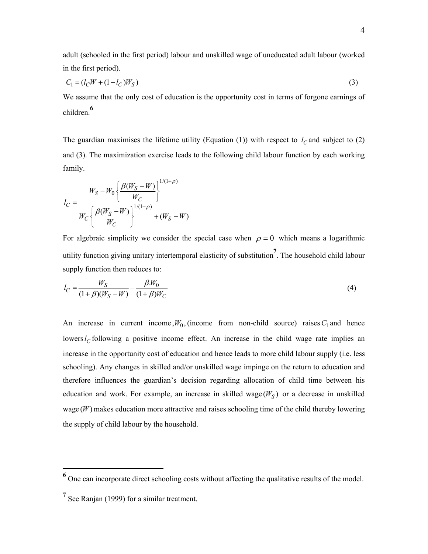adult (schooled in the first period) labour and unskilled wage of uneducated adult labour (worked in the first period).

$$
C_1 = (l_C W + (1 - l_C) W_S)
$$
\n(3)

We assume that the only cost of education is the opportunity cost in terms of forgone earnings of children.**<sup>6</sup>**

The guardian maximises the lifetime utility (Equation (1)) with respect to  $l_c$  and subject to (2) and (3). The maximization exercise leads to the following child labour function by each working family.

$$
l_C = \frac{W_S - W_0 \left\{ \frac{\beta(W_S - W)}{W_C} \right\}^{1/(1+\rho)}}{W_C \left\{ \frac{\beta(W_S - W)}{W_C} \right\}^{1/(1+\rho)}} + (W_S - W)
$$

For algebraic simplicity we consider the special case when  $\rho = 0$  which means a logarithmic utility function giving unitary intertemporal elasticity of substitution**<sup>7</sup>** . The household child labour supply function then reduces to:

$$
l_C = \frac{W_S}{(1+\beta)(W_S - W)} - \frac{\beta W_0}{(1+\beta)W_C}
$$
(4)

An increase in current income,  $W_0$ , (income from non-child source) raises  $C_1$  and hence lowers  $l_C$  following a positive income effect. An increase in the child wage rate implies an increase in the opportunity cost of education and hence leads to more child labour supply (i.e. less schooling). Any changes in skilled and/or unskilled wage impinge on the return to education and therefore influences the guardian's decision regarding allocation of child time between his education and work. For example, an increase in skilled wage  $(W<sub>S</sub>)$  or a decrease in unskilled wage  $(W)$  makes education more attractive and raises schooling time of the child thereby lowering the supply of child labour by the household.

 $\overline{a}$ 

<sup>&</sup>lt;sup>6</sup> One can incorporate direct schooling costs without affecting the qualitative results of the model.

<sup>&</sup>lt;sup>7</sup> See Ranjan (1999) for a similar treatment.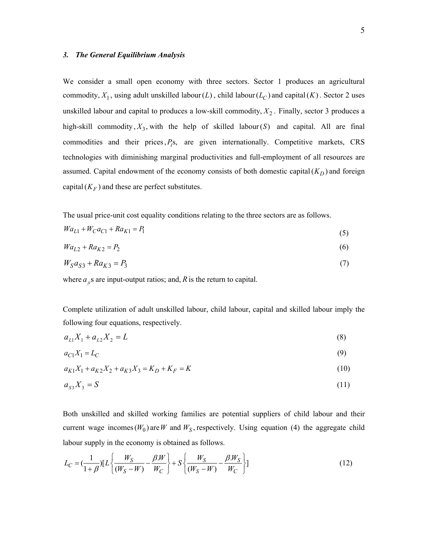#### *3. The General Equilibrium Analysis*

We consider a small open economy with three sectors. Sector 1 produces an agricultural commodity,  $X_1$ , using adult unskilled labour( $L$ ), child labour( $L_C$ ) and capital( $K$ ). Sector 2 uses unskilled labour and capital to produces a low-skill commodity,  $X_2$ . Finally, sector 3 produces a high-skill commodity,  $X_3$ , with the help of skilled labour(S) and capital. All are final commodities and their prices,  $P_i$ s, are given internationally. Competitive markets, CRS technologies with diminishing marginal productivities and full-employment of all resources are assumed. Capital endowment of the economy consists of both domestic capital( $K_D$ ) and foreign capital  $(K_F)$  and these are perfect substitutes.

The usual price-unit cost equality conditions relating to the three sectors are as follows.

$$
Wa_{L1} + W_C a_{C1} + Ra_{K1} = P_1
$$
\n<sup>(5)</sup>

$$
Wa_{L2} + Ra_{K2} = P_2 \tag{6}
$$

$$
W_S a_{S3} + R a_{K3} = P_3 \tag{7}
$$

where  $a_{ji}$ s are input-output ratios; and,  $R$  is the return to capital.

Complete utilization of adult unskilled labour, child labour, capital and skilled labour imply the following four equations, respectively.

$$
a_{L1}X_1 + a_{L2}X_2 = L \tag{8}
$$

$$
a_{C1}X_1 = L_C \tag{9}
$$

$$
a_{K1}X_1 + a_{K2}X_2 + a_{K3}X_3 = K_D + K_F = K
$$
\n(10)

$$
a_{s3}X_3 = S \tag{11}
$$

Both unskilled and skilled working families are potential suppliers of child labour and their current wage incomes  $(W_0)$  are W and  $W_S$ , respectively. Using equation (4) the aggregate child labour supply in the economy is obtained as follows.

$$
L_C = \left(\frac{1}{1+\beta}\right) \left[L \left\{\frac{W_S}{(W_S - W)} - \frac{\beta W}{W_C}\right\} + S \left\{\frac{W_S}{(W_S - W)} - \frac{\beta W_S}{W_C}\right\}\right] \tag{12}
$$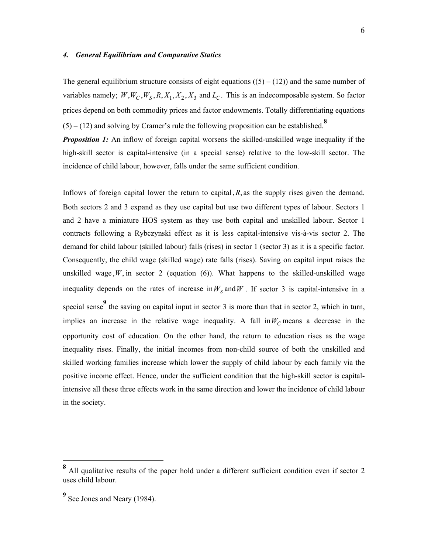# *4. General Equilibrium and Comparative Statics*

The general equilibrium structure consists of eight equations  $((5) - (12))$  and the same number of variables namely;  $W, W_C, W_S, R, X_1, X_2, X_3$  and  $L_C$ . This is an indecomposable system. So factor prices depend on both commodity prices and factor endowments. Totally differentiating equations  $(5) - (12)$  and solving by Cramer's rule the following proposition can be established.<sup>8</sup>

*Proposition 1:* An inflow of foreign capital worsens the skilled-unskilled wage inequality if the high-skill sector is capital-intensive (in a special sense) relative to the low-skill sector. The incidence of child labour, however, falls under the same sufficient condition.

Inflows of foreign capital lower the return to capital,  $R$ , as the supply rises given the demand. Both sectors 2 and 3 expand as they use capital but use two different types of labour. Sectors 1 and 2 have a miniature HOS system as they use both capital and unskilled labour. Sector 1 contracts following a Rybczynski effect as it is less capital-intensive vis-à-vis sector 2. The demand for child labour (skilled labour) falls (rises) in sector 1 (sector 3) as it is a specific factor. Consequently, the child wage (skilled wage) rate falls (rises). Saving on capital input raises the unskilled wage,  $W$ , in sector 2 (equation (6)). What happens to the skilled-unskilled wage inequality depends on the rates of increase in  $W<sub>S</sub>$  and  $W$ . If sector 3 is capital-intensive in a special sense<sup>9</sup> the saving on capital input in sector 3 is more than that in sector 2, which in turn, implies an increase in the relative wage inequality. A fall in  $W_C$  means a decrease in the opportunity cost of education. On the other hand, the return to education rises as the wage inequality rises. Finally, the initial incomes from non-child source of both the unskilled and skilled working families increase which lower the supply of child labour by each family via the positive income effect. Hence, under the sufficient condition that the high-skill sector is capitalintensive all these three effects work in the same direction and lower the incidence of child labour in the society.

-

**<sup>8</sup>** All qualitative results of the paper hold under a different sufficient condition even if sector 2 uses child labour.

<sup>&</sup>lt;sup>9</sup> See Jones and Neary (1984).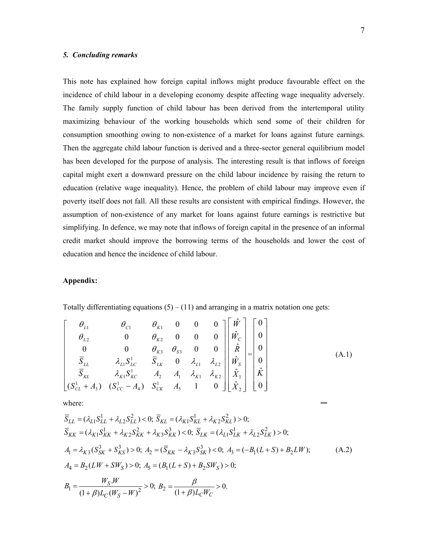## *5. Concluding remarks*

This note has explained how foreign capital inflows might produce favourable effect on the incidence of child labour in a developing economy despite affecting wage inequality adversely. The family supply function of child labour has been derived from the intertemporal utility maximizing behaviour of the working households which send some of their children for consumption smoothing owing to non-existence of a market for loans against future earnings. Then the aggregate child labour function is derived and a three-sector general equilibrium model has been developed for the purpose of analysis. The interesting result is that inflows of foreign capital might exert a downward pressure on the child labour incidence by raising the return to education (relative wage inequality). Hence, the problem of child labour may improve even if poverty itself does not fall. All these results are consistent with empirical findings. However, the assumption of non-existence of any market for loans against future earnings is restrictive but simplifying. In defence, we may note that inflows of foreign capital in the presence of an informal credit market should improve the borrowing terms of the households and lower the cost of education and hence the incidence of child labour.

# **Appendix:**

Totally differentiating equations  $(5) - (11)$  and arranging in a matrix notation one gets:

$$
\begin{bmatrix}\n\theta_{L1} & \theta_{C1} & \theta_{K1} & 0 & 0 & 0 \\
\theta_{L2} & 0 & \theta_{K2} & 0 & 0 & 0 \\
0 & 0 & \theta_{K3} & \theta_{S3} & 0 & 0 \\
\overline{S}_{LL} & \lambda_{L1}S_{LC}^{1} & \overline{S}_{LK} & 0 & \lambda_{L1} & \lambda_{L2} \\
\overline{S}_{KL} & \lambda_{K1}S_{LC}^{1} & \overline{A}_{2} & A_{1} & \lambda_{K1} & \lambda_{K2} \\
\overline{S}_{KL} & \lambda_{K1}S_{KC}^{1} & A_{2} & A_{1} & \lambda_{K1} & \lambda_{K2} \\
(S_{CL}^{1} + A_{3}) & (S_{CC}^{1} - A_{4}) & S_{CK}^{1} & A_{5} & 1 & 0\n\end{bmatrix}\n\begin{bmatrix}\n\hat{W} \\
\hat{W}_{C} \\
\hat{R} \\
\hat{R} \\
\hat{X}_{1} \\
\hat{X}_{2}\n\end{bmatrix} = \n\begin{bmatrix}\n0 \\
0 \\
0 \\
\hat{R} \\
\hat{X}_{2}\n\end{bmatrix}
$$
\n(A.1)

where:

$$
\overline{S}_{LL} = (\lambda_{L1} S_{LL}^{1} + \lambda_{L2} S_{LL}^{2}) < 0; \ \overline{S}_{KL} = (\lambda_{K1} S_{KL}^{1} + \lambda_{K2} S_{KL}^{2}) > 0; \n\overline{S}_{KK} = (\lambda_{K1} S_{KK}^{1} + \lambda_{K2} S_{KK}^{2} + \lambda_{K3} S_{KK}^{3}) < 0; \ \overline{S}_{LK} = (\lambda_{L1} S_{LK}^{1} + \lambda_{L2} S_{LK}^{2}) > 0; \nA_{1} = \lambda_{K3} (S_{SK}^{3} + S_{KS}^{3}) > 0; \ A_{2} = (\overline{S}_{KK} - \lambda_{K3} S_{SK}^{3}) < 0; \ A_{3} = (-B_{1}(L+S) + B_{2}LW); \nA_{4} = B_{2}(LW + SW_{S}) > 0; \ A_{5} = (B_{1}(L+S) + B_{2}SW_{S}) > 0; \nB_{1} = \frac{W_{S}.W}{(1+\beta)L_{C}(W_{S} - W)^{2}} > 0; \ B_{2} = \frac{\beta}{(1+\beta)L_{C}W_{C}} > 0.
$$
\n(A.2)